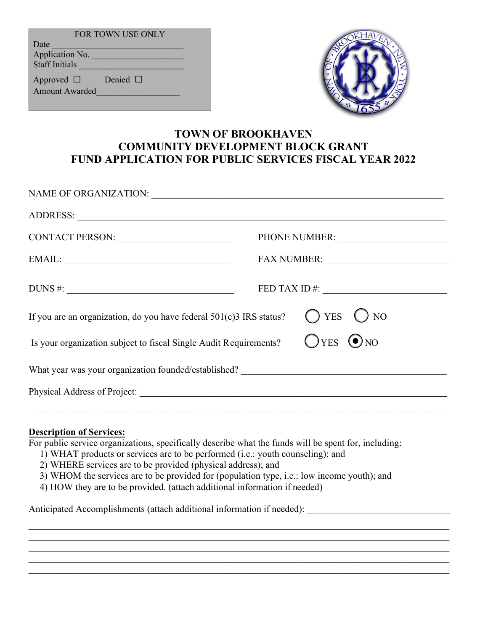| <b>FOR TOWN USE ONLY</b>          |               |
|-----------------------------------|---------------|
| Date                              |               |
| Application No.                   |               |
| <b>Staff Initials</b>             |               |
| Approved $\Box$<br>Amount Awarded | Denied $\Box$ |



# **TOWN OF BROOKHAVEN COMMUNITY DEVELOPMENT BLOCK GRANT FUND APPLICATION FOR PUBLIC SERVICES FISCAL YEAR 2022**

|                                                                                   | PHONE NUMBER:          |
|-----------------------------------------------------------------------------------|------------------------|
| $\text{EMAIL:}\underbrace{\hspace{2cm}}$                                          |                        |
|                                                                                   | $FED TAX ID \#:$       |
| If you are an organization, do you have federal $501(c)3$ IRS status?             | $O$ YES $O$ NO         |
| Is your organization subject to fiscal Single Audit Requirements?                 | $OYES$ O <sub>NO</sub> |
| What year was your organization founded/established? ____________________________ |                        |
|                                                                                   |                        |
|                                                                                   |                        |

# **Description of Services:**

For public service organizations, specifically describe what the funds will be spent for, including:

- 1) WHAT products or services are to be performed (i.e.: youth counseling); and
- 2) WHERE services are to be provided (physical address); and
- 3) WHOM the services are to be provided for (population type, i.e.: low income youth); and

\_\_\_\_\_\_\_\_\_\_\_\_\_\_\_\_\_\_\_\_\_\_\_\_\_\_\_\_\_\_\_\_\_\_\_\_\_\_\_\_\_\_\_\_\_\_\_\_\_\_\_\_\_\_\_\_\_\_\_\_\_\_\_\_\_\_\_\_\_\_\_\_\_\_\_\_\_\_\_\_\_\_\_\_\_\_\_\_

\_\_\_\_\_\_\_\_\_\_\_\_\_\_\_\_\_\_\_\_\_\_\_\_\_\_\_\_\_\_\_\_\_\_\_\_\_\_\_\_\_\_\_\_\_\_\_\_\_\_\_\_\_\_\_\_\_\_\_\_\_\_\_\_\_\_\_\_\_\_\_\_\_\_\_\_\_\_\_\_\_\_\_\_\_\_\_\_

 $\mathcal{L}_\mathcal{L} = \{ \mathcal{L}_\mathcal{L} = \{ \mathcal{L}_\mathcal{L} = \{ \mathcal{L}_\mathcal{L} = \{ \mathcal{L}_\mathcal{L} = \{ \mathcal{L}_\mathcal{L} = \{ \mathcal{L}_\mathcal{L} = \{ \mathcal{L}_\mathcal{L} = \{ \mathcal{L}_\mathcal{L} = \{ \mathcal{L}_\mathcal{L} = \{ \mathcal{L}_\mathcal{L} = \{ \mathcal{L}_\mathcal{L} = \{ \mathcal{L}_\mathcal{L} = \{ \mathcal{L}_\mathcal{L} = \{ \mathcal{L}_\mathcal{$ 

4) HOW they are to be provided. (attach additional information if needed)

Anticipated Accomplishments (attach additional information if needed):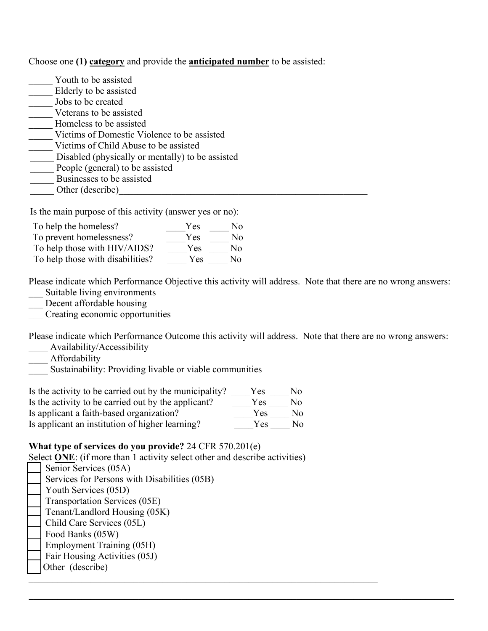Choose one **(1) category** and provide the **anticipated number** to be assisted:

| Youth to be assisted                             |
|--------------------------------------------------|
| Elderly to be assisted                           |
| Jobs to be created                               |
| Veterans to be assisted                          |
| Homeless to be assisted                          |
| Victims of Domestic Violence to be assisted      |
| Victims of Child Abuse to be assisted            |
| Disabled (physically or mentally) to be assisted |
| People (general) to be assisted                  |
| Businesses to be assisted                        |
| Other (describe)                                 |

Is the main purpose of this activity (answer yes or no):

| To help the homeless?            | Yes | Nο |
|----------------------------------|-----|----|
| To prevent homelessness?         | Yes | Nο |
| To help those with HIV/AIDS?     | Yes | No |
| To help those with disabilities? | Yes | Nο |

Please indicate which Performance Objective this activity will address. Note that there are no wrong answers: Suitable living environments

- Decent affordable housing
- \_\_\_ Creating economic opportunities

Please indicate which Performance Outcome this activity will address. Note that there are no wrong answers: Availability/Accessibility

 $\_$ 

- \_\_\_\_ Affordability
- **Sustainability:** Providing livable or viable communities

| Is the activity to be carried out by the municipality? | Y es | No |
|--------------------------------------------------------|------|----|
| Is the activity to be carried out by the applicant?    | Yes  | No |
| Is applicant a faith-based organization?               | Yes  | Nο |
| Is applicant an institution of higher learning?        | Yes  | Nο |

### **What type of services do you provide?** 24 CFR 570.201(e)

Select **ONE**: (if more than 1 activity select other and describe activities)

| Senior Services (05A)                        |
|----------------------------------------------|
| Services for Persons with Disabilities (05B) |
| Youth Services (05D)                         |
| Transportation Services (05E)                |
| Tenant/Landlord Housing (05K)                |
| Child Care Services (05L)                    |
| Food Banks (05W)                             |
| <b>Employment Training (05H)</b>             |
| Fair Housing Activities (05J)                |
| Other (describe)                             |
|                                              |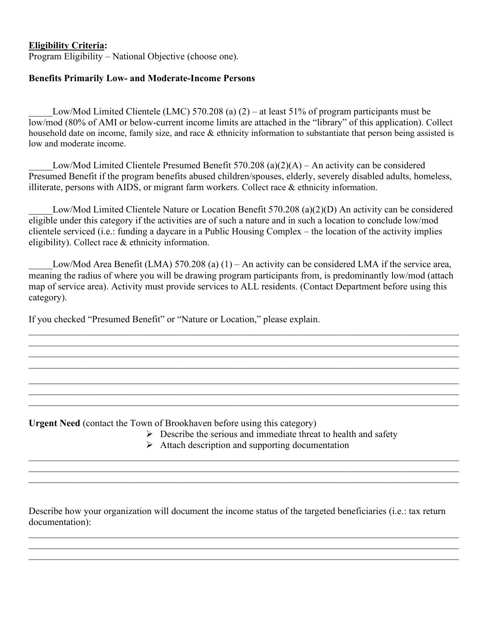### **Eligibility Criteria:**

Program Eligibility – National Objective (choose one).

#### **Benefits Primarily Low- and Moderate-Income Persons**

Low/Mod Limited Clientele (LMC) 570.208 (a)  $(2)$  – at least 51% of program participants must be low/mod (80% of AMI or below-current income limits are attached in the "library" of this application). Collect household date on income, family size, and race & ethnicity information to substantiate that person being assisted is low and moderate income.

Low/Mod Limited Clientele Presumed Benefit 570.208 (a)(2)(A) – An activity can be considered Presumed Benefit if the program benefits abused children/spouses, elderly, severely disabled adults, homeless, illiterate, persons with AIDS, or migrant farm workers. Collect race & ethnicity information.

Low/Mod Limited Clientele Nature or Location Benefit 570.208 (a)(2)(D) An activity can be considered eligible under this category if the activities are of such a nature and in such a location to conclude low/mod clientele serviced (i.e.: funding a daycare in a Public Housing Complex – the location of the activity implies eligibility). Collect race & ethnicity information.

Low/Mod Area Benefit (LMA) 570.208 (a)  $(1)$  – An activity can be considered LMA if the service area, meaning the radius of where you will be drawing program participants from, is predominantly low/mod (attach map of service area). Activity must provide services to ALL residents. (Contact Department before using this category).

 $\mathcal{L}_\mathcal{L} = \{ \mathcal{L}_\mathcal{L} = \{ \mathcal{L}_\mathcal{L} = \{ \mathcal{L}_\mathcal{L} = \{ \mathcal{L}_\mathcal{L} = \{ \mathcal{L}_\mathcal{L} = \{ \mathcal{L}_\mathcal{L} = \{ \mathcal{L}_\mathcal{L} = \{ \mathcal{L}_\mathcal{L} = \{ \mathcal{L}_\mathcal{L} = \{ \mathcal{L}_\mathcal{L} = \{ \mathcal{L}_\mathcal{L} = \{ \mathcal{L}_\mathcal{L} = \{ \mathcal{L}_\mathcal{L} = \{ \mathcal{L}_\mathcal{$  $\mathcal{L}_\mathcal{L} = \{ \mathcal{L}_\mathcal{L} = \{ \mathcal{L}_\mathcal{L} = \{ \mathcal{L}_\mathcal{L} = \{ \mathcal{L}_\mathcal{L} = \{ \mathcal{L}_\mathcal{L} = \{ \mathcal{L}_\mathcal{L} = \{ \mathcal{L}_\mathcal{L} = \{ \mathcal{L}_\mathcal{L} = \{ \mathcal{L}_\mathcal{L} = \{ \mathcal{L}_\mathcal{L} = \{ \mathcal{L}_\mathcal{L} = \{ \mathcal{L}_\mathcal{L} = \{ \mathcal{L}_\mathcal{L} = \{ \mathcal{L}_\mathcal{$  $\mathcal{L}_\mathcal{L} = \{ \mathcal{L}_\mathcal{L} = \{ \mathcal{L}_\mathcal{L} = \{ \mathcal{L}_\mathcal{L} = \{ \mathcal{L}_\mathcal{L} = \{ \mathcal{L}_\mathcal{L} = \{ \mathcal{L}_\mathcal{L} = \{ \mathcal{L}_\mathcal{L} = \{ \mathcal{L}_\mathcal{L} = \{ \mathcal{L}_\mathcal{L} = \{ \mathcal{L}_\mathcal{L} = \{ \mathcal{L}_\mathcal{L} = \{ \mathcal{L}_\mathcal{L} = \{ \mathcal{L}_\mathcal{L} = \{ \mathcal{L}_\mathcal{$  $\mathcal{L}_\mathcal{L} = \mathcal{L}_\mathcal{L} = \mathcal{L}_\mathcal{L} = \mathcal{L}_\mathcal{L} = \mathcal{L}_\mathcal{L} = \mathcal{L}_\mathcal{L} = \mathcal{L}_\mathcal{L} = \mathcal{L}_\mathcal{L} = \mathcal{L}_\mathcal{L} = \mathcal{L}_\mathcal{L} = \mathcal{L}_\mathcal{L} = \mathcal{L}_\mathcal{L} = \mathcal{L}_\mathcal{L} = \mathcal{L}_\mathcal{L} = \mathcal{L}_\mathcal{L} = \mathcal{L}_\mathcal{L} = \mathcal{L}_\mathcal{L}$ 

 $\mathcal{L}_\mathcal{L} = \{ \mathcal{L}_\mathcal{L} = \{ \mathcal{L}_\mathcal{L} = \{ \mathcal{L}_\mathcal{L} = \{ \mathcal{L}_\mathcal{L} = \{ \mathcal{L}_\mathcal{L} = \{ \mathcal{L}_\mathcal{L} = \{ \mathcal{L}_\mathcal{L} = \{ \mathcal{L}_\mathcal{L} = \{ \mathcal{L}_\mathcal{L} = \{ \mathcal{L}_\mathcal{L} = \{ \mathcal{L}_\mathcal{L} = \{ \mathcal{L}_\mathcal{L} = \{ \mathcal{L}_\mathcal{L} = \{ \mathcal{L}_\mathcal{$  $\mathcal{L}_\mathcal{L} = \{ \mathcal{L}_\mathcal{L} = \{ \mathcal{L}_\mathcal{L} = \{ \mathcal{L}_\mathcal{L} = \{ \mathcal{L}_\mathcal{L} = \{ \mathcal{L}_\mathcal{L} = \{ \mathcal{L}_\mathcal{L} = \{ \mathcal{L}_\mathcal{L} = \{ \mathcal{L}_\mathcal{L} = \{ \mathcal{L}_\mathcal{L} = \{ \mathcal{L}_\mathcal{L} = \{ \mathcal{L}_\mathcal{L} = \{ \mathcal{L}_\mathcal{L} = \{ \mathcal{L}_\mathcal{L} = \{ \mathcal{L}_\mathcal{$ 

If you checked "Presumed Benefit" or "Nature or Location," please explain.

**Urgent Need** (contact the Town of Brookhaven before using this category)

- $\triangleright$  Describe the serious and immediate threat to health and safety
- $\triangleright$  Attach description and supporting documentation

 $\mathcal{L}_\mathcal{L} = \{ \mathcal{L}_\mathcal{L} = \{ \mathcal{L}_\mathcal{L} = \{ \mathcal{L}_\mathcal{L} = \{ \mathcal{L}_\mathcal{L} = \{ \mathcal{L}_\mathcal{L} = \{ \mathcal{L}_\mathcal{L} = \{ \mathcal{L}_\mathcal{L} = \{ \mathcal{L}_\mathcal{L} = \{ \mathcal{L}_\mathcal{L} = \{ \mathcal{L}_\mathcal{L} = \{ \mathcal{L}_\mathcal{L} = \{ \mathcal{L}_\mathcal{L} = \{ \mathcal{L}_\mathcal{L} = \{ \mathcal{L}_\mathcal{$  $\mathcal{L}_\mathcal{L} = \{ \mathcal{L}_\mathcal{L} = \{ \mathcal{L}_\mathcal{L} = \{ \mathcal{L}_\mathcal{L} = \{ \mathcal{L}_\mathcal{L} = \{ \mathcal{L}_\mathcal{L} = \{ \mathcal{L}_\mathcal{L} = \{ \mathcal{L}_\mathcal{L} = \{ \mathcal{L}_\mathcal{L} = \{ \mathcal{L}_\mathcal{L} = \{ \mathcal{L}_\mathcal{L} = \{ \mathcal{L}_\mathcal{L} = \{ \mathcal{L}_\mathcal{L} = \{ \mathcal{L}_\mathcal{L} = \{ \mathcal{L}_\mathcal{$  $\mathcal{L}_\mathcal{L} = \mathcal{L}_\mathcal{L} = \mathcal{L}_\mathcal{L} = \mathcal{L}_\mathcal{L} = \mathcal{L}_\mathcal{L} = \mathcal{L}_\mathcal{L} = \mathcal{L}_\mathcal{L} = \mathcal{L}_\mathcal{L} = \mathcal{L}_\mathcal{L} = \mathcal{L}_\mathcal{L} = \mathcal{L}_\mathcal{L} = \mathcal{L}_\mathcal{L} = \mathcal{L}_\mathcal{L} = \mathcal{L}_\mathcal{L} = \mathcal{L}_\mathcal{L} = \mathcal{L}_\mathcal{L} = \mathcal{L}_\mathcal{L}$ 

Describe how your organization will document the income status of the targeted beneficiaries (i.e.: tax return documentation):

 $\mathcal{L}_\mathcal{L} = \mathcal{L}_\mathcal{L} = \mathcal{L}_\mathcal{L} = \mathcal{L}_\mathcal{L} = \mathcal{L}_\mathcal{L} = \mathcal{L}_\mathcal{L} = \mathcal{L}_\mathcal{L} = \mathcal{L}_\mathcal{L} = \mathcal{L}_\mathcal{L} = \mathcal{L}_\mathcal{L} = \mathcal{L}_\mathcal{L} = \mathcal{L}_\mathcal{L} = \mathcal{L}_\mathcal{L} = \mathcal{L}_\mathcal{L} = \mathcal{L}_\mathcal{L} = \mathcal{L}_\mathcal{L} = \mathcal{L}_\mathcal{L}$ 

 $\mathcal{L}_\mathcal{L} = \{ \mathcal{L}_\mathcal{L} = \{ \mathcal{L}_\mathcal{L} = \{ \mathcal{L}_\mathcal{L} = \{ \mathcal{L}_\mathcal{L} = \{ \mathcal{L}_\mathcal{L} = \{ \mathcal{L}_\mathcal{L} = \{ \mathcal{L}_\mathcal{L} = \{ \mathcal{L}_\mathcal{L} = \{ \mathcal{L}_\mathcal{L} = \{ \mathcal{L}_\mathcal{L} = \{ \mathcal{L}_\mathcal{L} = \{ \mathcal{L}_\mathcal{L} = \{ \mathcal{L}_\mathcal{L} = \{ \mathcal{L}_\mathcal{$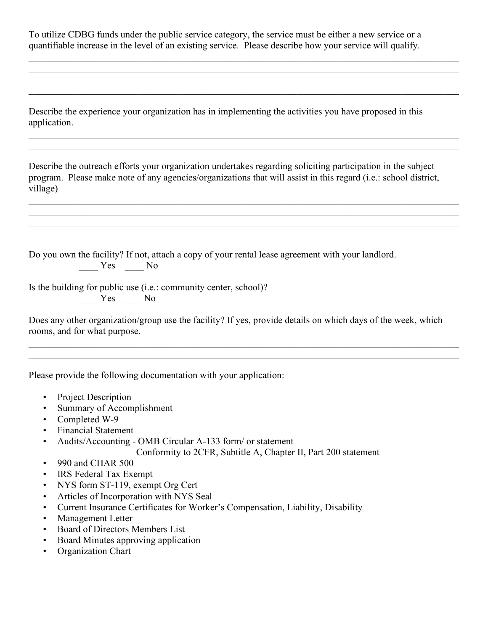To utilize CDBG funds under the public service category, the service must be either a new service or a quantifiable increase in the level of an existing service. Please describe how your service will qualify.

 $\mathcal{L}_\mathcal{L} = \{ \mathcal{L}_\mathcal{L} = \{ \mathcal{L}_\mathcal{L} = \{ \mathcal{L}_\mathcal{L} = \{ \mathcal{L}_\mathcal{L} = \{ \mathcal{L}_\mathcal{L} = \{ \mathcal{L}_\mathcal{L} = \{ \mathcal{L}_\mathcal{L} = \{ \mathcal{L}_\mathcal{L} = \{ \mathcal{L}_\mathcal{L} = \{ \mathcal{L}_\mathcal{L} = \{ \mathcal{L}_\mathcal{L} = \{ \mathcal{L}_\mathcal{L} = \{ \mathcal{L}_\mathcal{L} = \{ \mathcal{L}_\mathcal{$ 

 $\mathcal{L}_\mathcal{L} = \{ \mathcal{L}_\mathcal{L} = \{ \mathcal{L}_\mathcal{L} = \{ \mathcal{L}_\mathcal{L} = \{ \mathcal{L}_\mathcal{L} = \{ \mathcal{L}_\mathcal{L} = \{ \mathcal{L}_\mathcal{L} = \{ \mathcal{L}_\mathcal{L} = \{ \mathcal{L}_\mathcal{L} = \{ \mathcal{L}_\mathcal{L} = \{ \mathcal{L}_\mathcal{L} = \{ \mathcal{L}_\mathcal{L} = \{ \mathcal{L}_\mathcal{L} = \{ \mathcal{L}_\mathcal{L} = \{ \mathcal{L}_\mathcal{$ 

 $\mathcal{L}_\mathcal{L} = \{ \mathcal{L}_\mathcal{L} = \{ \mathcal{L}_\mathcal{L} = \{ \mathcal{L}_\mathcal{L} = \{ \mathcal{L}_\mathcal{L} = \{ \mathcal{L}_\mathcal{L} = \{ \mathcal{L}_\mathcal{L} = \{ \mathcal{L}_\mathcal{L} = \{ \mathcal{L}_\mathcal{L} = \{ \mathcal{L}_\mathcal{L} = \{ \mathcal{L}_\mathcal{L} = \{ \mathcal{L}_\mathcal{L} = \{ \mathcal{L}_\mathcal{L} = \{ \mathcal{L}_\mathcal{L} = \{ \mathcal{L}_\mathcal{$  $\mathcal{L}_\mathcal{L} = \{ \mathcal{L}_\mathcal{L} = \{ \mathcal{L}_\mathcal{L} = \{ \mathcal{L}_\mathcal{L} = \{ \mathcal{L}_\mathcal{L} = \{ \mathcal{L}_\mathcal{L} = \{ \mathcal{L}_\mathcal{L} = \{ \mathcal{L}_\mathcal{L} = \{ \mathcal{L}_\mathcal{L} = \{ \mathcal{L}_\mathcal{L} = \{ \mathcal{L}_\mathcal{L} = \{ \mathcal{L}_\mathcal{L} = \{ \mathcal{L}_\mathcal{L} = \{ \mathcal{L}_\mathcal{L} = \{ \mathcal{L}_\mathcal{$ 

 $\mathcal{L}_\mathcal{L} = \{ \mathcal{L}_\mathcal{L} = \{ \mathcal{L}_\mathcal{L} = \{ \mathcal{L}_\mathcal{L} = \{ \mathcal{L}_\mathcal{L} = \{ \mathcal{L}_\mathcal{L} = \{ \mathcal{L}_\mathcal{L} = \{ \mathcal{L}_\mathcal{L} = \{ \mathcal{L}_\mathcal{L} = \{ \mathcal{L}_\mathcal{L} = \{ \mathcal{L}_\mathcal{L} = \{ \mathcal{L}_\mathcal{L} = \{ \mathcal{L}_\mathcal{L} = \{ \mathcal{L}_\mathcal{L} = \{ \mathcal{L}_\mathcal{$  $\mathcal{L}_\mathcal{L} = \mathcal{L}_\mathcal{L} = \mathcal{L}_\mathcal{L} = \mathcal{L}_\mathcal{L} = \mathcal{L}_\mathcal{L} = \mathcal{L}_\mathcal{L} = \mathcal{L}_\mathcal{L} = \mathcal{L}_\mathcal{L} = \mathcal{L}_\mathcal{L} = \mathcal{L}_\mathcal{L} = \mathcal{L}_\mathcal{L} = \mathcal{L}_\mathcal{L} = \mathcal{L}_\mathcal{L} = \mathcal{L}_\mathcal{L} = \mathcal{L}_\mathcal{L} = \mathcal{L}_\mathcal{L} = \mathcal{L}_\mathcal{L}$ 

 $\mathcal{L}_\mathcal{L} = \{ \mathcal{L}_\mathcal{L} = \{ \mathcal{L}_\mathcal{L} = \{ \mathcal{L}_\mathcal{L} = \{ \mathcal{L}_\mathcal{L} = \{ \mathcal{L}_\mathcal{L} = \{ \mathcal{L}_\mathcal{L} = \{ \mathcal{L}_\mathcal{L} = \{ \mathcal{L}_\mathcal{L} = \{ \mathcal{L}_\mathcal{L} = \{ \mathcal{L}_\mathcal{L} = \{ \mathcal{L}_\mathcal{L} = \{ \mathcal{L}_\mathcal{L} = \{ \mathcal{L}_\mathcal{L} = \{ \mathcal{L}_\mathcal{$ 

Describe the experience your organization has in implementing the activities you have proposed in this application.

Describe the outreach efforts your organization undertakes regarding soliciting participation in the subject program. Please make note of any agencies/organizations that will assist in this regard (i.e.: school district, village)

Do you own the facility? If not, attach a copy of your rental lease agreement with your landlord. \_\_\_\_ Yes \_\_\_\_ No

Is the building for public use (i.e.: community center, school)?  $Yes$  No

Does any other organization/group use the facility? If yes, provide details on which days of the week, which rooms, and for what purpose.

 $\mathcal{L}_\mathcal{L} = \{ \mathcal{L}_\mathcal{L} = \{ \mathcal{L}_\mathcal{L} = \{ \mathcal{L}_\mathcal{L} = \{ \mathcal{L}_\mathcal{L} = \{ \mathcal{L}_\mathcal{L} = \{ \mathcal{L}_\mathcal{L} = \{ \mathcal{L}_\mathcal{L} = \{ \mathcal{L}_\mathcal{L} = \{ \mathcal{L}_\mathcal{L} = \{ \mathcal{L}_\mathcal{L} = \{ \mathcal{L}_\mathcal{L} = \{ \mathcal{L}_\mathcal{L} = \{ \mathcal{L}_\mathcal{L} = \{ \mathcal{L}_\mathcal{$  $\mathcal{L}_\mathcal{L} = \{ \mathcal{L}_\mathcal{L} = \{ \mathcal{L}_\mathcal{L} = \{ \mathcal{L}_\mathcal{L} = \{ \mathcal{L}_\mathcal{L} = \{ \mathcal{L}_\mathcal{L} = \{ \mathcal{L}_\mathcal{L} = \{ \mathcal{L}_\mathcal{L} = \{ \mathcal{L}_\mathcal{L} = \{ \mathcal{L}_\mathcal{L} = \{ \mathcal{L}_\mathcal{L} = \{ \mathcal{L}_\mathcal{L} = \{ \mathcal{L}_\mathcal{L} = \{ \mathcal{L}_\mathcal{L} = \{ \mathcal{L}_\mathcal{$ 

Please provide the following documentation with your application:

- Project Description
- Summary of Accomplishment
- Completed W-9
- Financial Statement
- Audits/Accounting OMB Circular A-133 form/ or statement

Conformity to 2CFR, Subtitle A, Chapter II, Part 200 statement

- 990 and CHAR 500
- IRS Federal Tax Exempt
- NYS form ST-119, exempt Org Cert
- Articles of Incorporation with NYS Seal
- Current Insurance Certificates for Worker's Compensation, Liability, Disability
- Management Letter
- Board of Directors Members List
- Board Minutes approving application
- Organization Chart